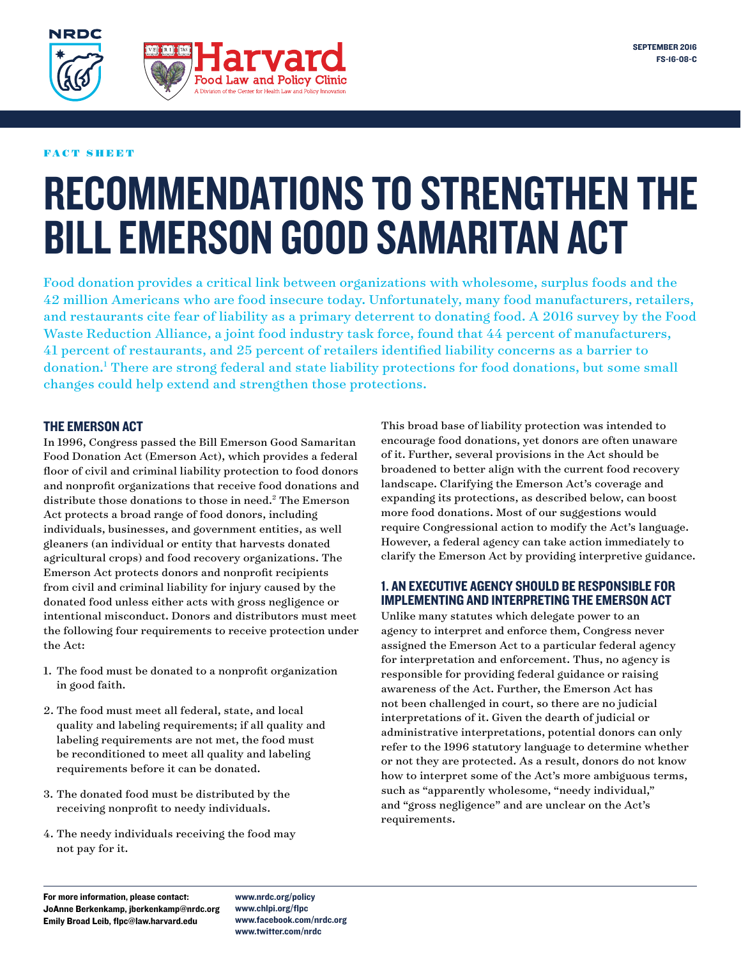

#### FACT SHEET

**NRDC** 

# RECOMMENDATIONS TO STRENGTHEN THE BILL EMERSON GOOD SAMARITAN ACT

Food donation provides a critical link between organizations with wholesome, surplus foods and the 42 million Americans who are food insecure today. Unfortunately, many food manufacturers, retailers, and restaurants cite fear of liability as a primary deterrent to donating food. A 2016 survey by the Food Waste Reduction Alliance, a joint food industry task force, found that 44 percent of manufacturers, 41 percent of restaurants, and 25 percent of retailers identified liability concerns as a barrier to donation.<sup>1</sup> There are strong federal and state liability protections for food donations, but some small changes could help extend and strengthen those protections.

# THE EMERSON ACT

In 1996, Congress passed the Bill Emerson Good Samaritan Food Donation Act (Emerson Act), which provides a federal floor of civil and criminal liability protection to food donors and nonprofit organizations that receive food donations and distribute those donations to those in need.2 The Emerson Act protects a broad range of food donors, including individuals, businesses, and government entities, as well gleaners (an individual or entity that harvests donated agricultural crops) and food recovery organizations. The Emerson Act protects donors and nonprofit recipients from civil and criminal liability for injury caused by the donated food unless either acts with gross negligence or intentional misconduct. Donors and distributors must meet the following four requirements to receive protection under the Act:

- 1. The food must be donated to a nonprofit organization in good faith.
- 2. The food must meet all federal, state, and local quality and labeling requirements; if all quality and labeling requirements are not met, the food must be reconditioned to meet all quality and labeling requirements before it can be donated.
- 3. The donated food must be distributed by the receiving nonprofit to needy individuals.
- 4. The needy individuals receiving the food may not pay for it.

This broad base of liability protection was intended to encourage food donations, yet donors are often unaware of it. Further, several provisions in the Act should be broadened to better align with the current food recovery landscape. Clarifying the Emerson Act's coverage and expanding its protections, as described below, can boost more food donations. Most of our suggestions would require Congressional action to modify the Act's language. However, a federal agency can take action immediately to clarify the Emerson Act by providing interpretive guidance.

# 1. AN EXECUTIVE AGENCY SHOULD BE RESPONSIBLE FOR IMPLEMENTING AND INTERPRETING THE EMERSON ACT

Unlike many statutes which delegate power to an agency to interpret and enforce them, Congress never assigned the Emerson Act to a particular federal agency for interpretation and enforcement. Thus, no agency is responsible for providing federal guidance or raising awareness of the Act. Further, the Emerson Act has not been challenged in court, so there are no judicial interpretations of it. Given the dearth of judicial or administrative interpretations, potential donors can only refer to the 1996 statutory language to determine whether or not they are protected. As a result, donors do not know how to interpret some of the Act's more ambiguous terms, such as "apparently wholesome, "needy individual," and "gross negligence" and are unclear on the Act's requirements.

For more information, please contact: JoAnne Berkenkamp, jberkenkamp@nrdc.org Emily Broad Leib, flpc@law.harvard.edu

www.nrdc.org/policy www.chlpi.org/flpc www.facebook.com/nrdc.org www.twitter.com/nrdc